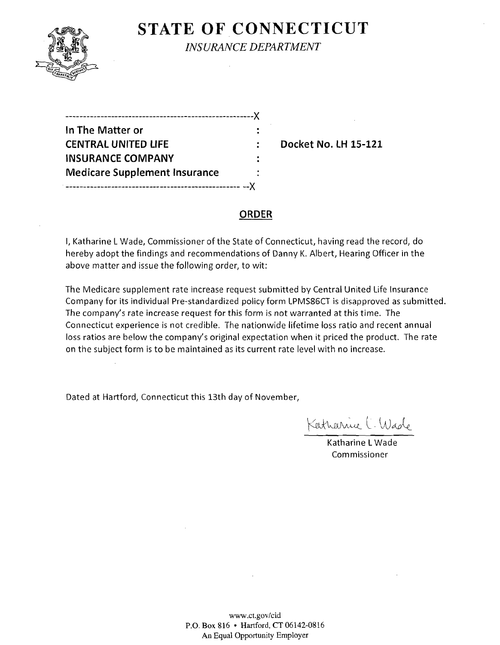

## **STATE OF CONNECTICUT** *INSURANCE DEPARTMENT*

| ----------------------------------X    |  |
|----------------------------------------|--|
| In The Matter or                       |  |
| <b>CENTRAL UNITED LIFE</b>             |  |
| <b>INSURANCE COMPANY</b>               |  |
| <b>Medicare Supplement Insurance</b>   |  |
| --- <i>---------------------------</i> |  |

**Docket No. LH 15-121** 

### **ORDER**

I, Katharine L Wade, Commissioner of the State of Connecticut, having read the record, do hereby adopt the findings and recommendations of Danny K. Albert, Hearing Officer in the above matter and issue the following order, to wit:

The Medicare supplement rate increase request submitted by Central United Life Insurance Company for its individual Pre-standardized policy form LPMS86CT is disapproved as submitted. The company's rate increase request for this form is not warranted at this time. The Connecticut experience is not credible. The nationwide lifetime loss ratio and recent annual loss ratios are below the company's original expectation when it priced the product. The rate on the subject form is to be maintained as its current rate level with no increase.

Dated at Hartford, Connecticut this 13th day of November,

Katharrice C. Wade

Katharine L Wade Commissioner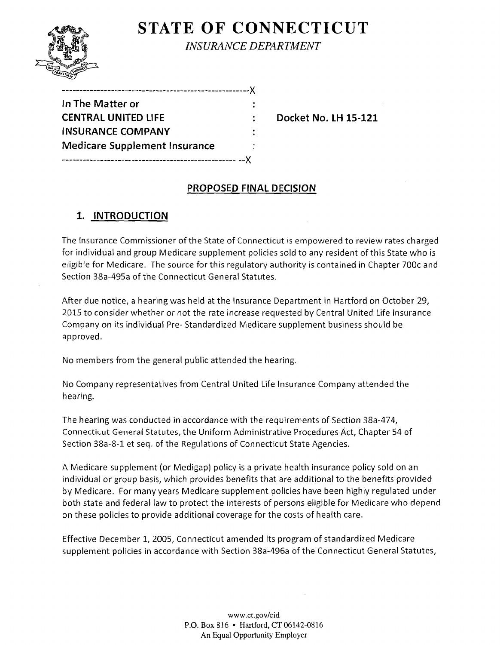# **STATE OF CONNECTICUT**



*INSURANCE DEPARTMENT* 

------------------------------------------------------)(

**Docket No. LH 15-121** 

## **PROPOSED FINAL DECISION**

## **1. INTRODUCTION**

The Insurance Commissioner of the State of Connecticut is empowered to review rates charged for individual and group Medicare supplement policies sold to any resident of this State who is eligible for Medicare. The source for this regulatory authority is contained in Chapter 700c and Section 38a-495a of the Connecticut General Statutes.

After due notice, a hearing was held at the Insurance Department in Hartford on October 29, 2015 to consider whether or not the rate increase requested by Central United Life Insurance Company on its individual Pre- Standardized Medicare supplement business should be approved.

No members from the general public attended the hearing.

No Company representatives from Central United Life Insurance Company attended the hearing.

The hearing was conducted in accordance with the requirements of Section 38a-474, Connecticut General Statutes, the Uniform Administrative Procedures Act, Chapter 54 of Section 38a-8-1 et seq. of the Regulations of Connecticut State Agencies.

A Medicare supplement (or Medigap) policy is a private health insurance policy sold on an individual or group basis, which provides benefits that are additional to the benefits provided by Medicare. For many years Medicare supplement policies have been highly regulated under both state and federal law to protect the interests of persons eligible for Medicare who depend on these policies to provide additional coverage for the costs of health care.

Effective December I, 2005, Connecticut amended its program of standardized Medicare supplement policies in accordance with Section 38a-496a of the Connecticut General Statutes,

> www.ct.gov/cid P.O. Box 816 • Hartford, CT 06142-0816 An Equal Opportunity Employer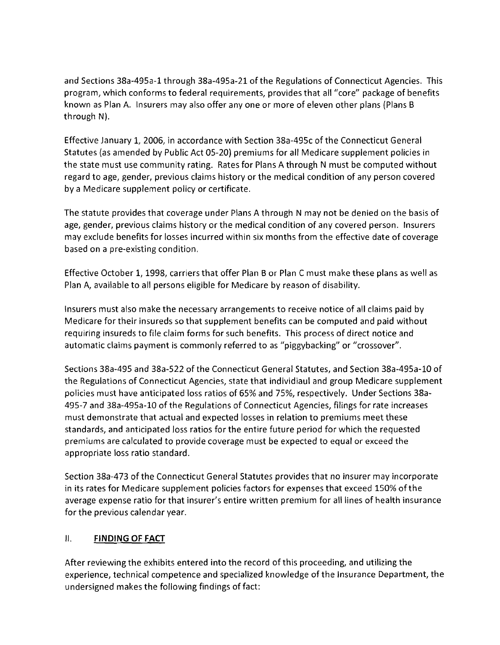and Sections 38a-495a-1 through 38a-495a-21 of the Regulations of Connecticut Agencies. This program, which conforms to federal requirements, provides that all "core" package of benefits known as Plan A. Insurers may also offer anyone or more of eleven other plans (Plans B through N).

Effective January 1, 2006, in accordance with Section 38a-495c of the Connecticut General Statutes (as amended by Public Act 05-20) premiums for all Medicare supplement policies in the state must use community rating. Rates for Plans A through N must be computed without regard to age, gender, previous claims history or the medical condition of any person covered by a Medicare supplement policy or certificate.

The statute provides that coverage under Plans A through N may not be denied on the basis of age, gender, previous claims history or the medical condition of any covered person. Insurers may exclude benefits for losses incurred within six months from the effective date of coverage based on a pre-existing condition.

Effective October 1,1998, carriers that offer Plan B or Plan C must make these plans as well as Plan A, available to all persons eligible for Medicare by reason of disability.

Insurers must also make the necessary arrangements to receive notice of all claims paid by Medicare for their insureds so that supplement benefits can be computed and paid without requiring insureds to file claim forms for such benefits. This process of direct notice and automatic claims payment is commonly referred to as "piggybacking" or "crossover".

Sections 38a-495 and 38a-522 of the Connecticut General Statutes, and Section 38a-495a-10 of the Regulations of Connecticut Agencies, state that individiaul and group Medicare supplement policies must have anticipated loss ratios of 65% and 75%, respectively. Under Sections 38a-495-7 and 38a-495a-1O of the Regulations of Connecticut Agencies, filings for rate increases must demonstrate that actual and expected losses in relation to premiums meet these standards, and anticipated loss ratios for the entire future period for which the requested premiums are calculated to provide coverage must be expected to equal or exceed the appropriate loss ratio standard.

Section 38a-473 of the Connecticut General Statutes provides that no insurer may incorporate in its rates for Medicare supplement policies factors for expenses that exceed 150% ofthe average expense ratio for that insurer's entire written premium for all lines of health insurance for the previous calendar year.

### II. **FINDING OF FACT**

After reviewing the exhibits entered into the record of this proceeding, and utilizing the experience, technical competence and specialized knowledge of the Insurance Department, the undersigned makes the following findings of fact: